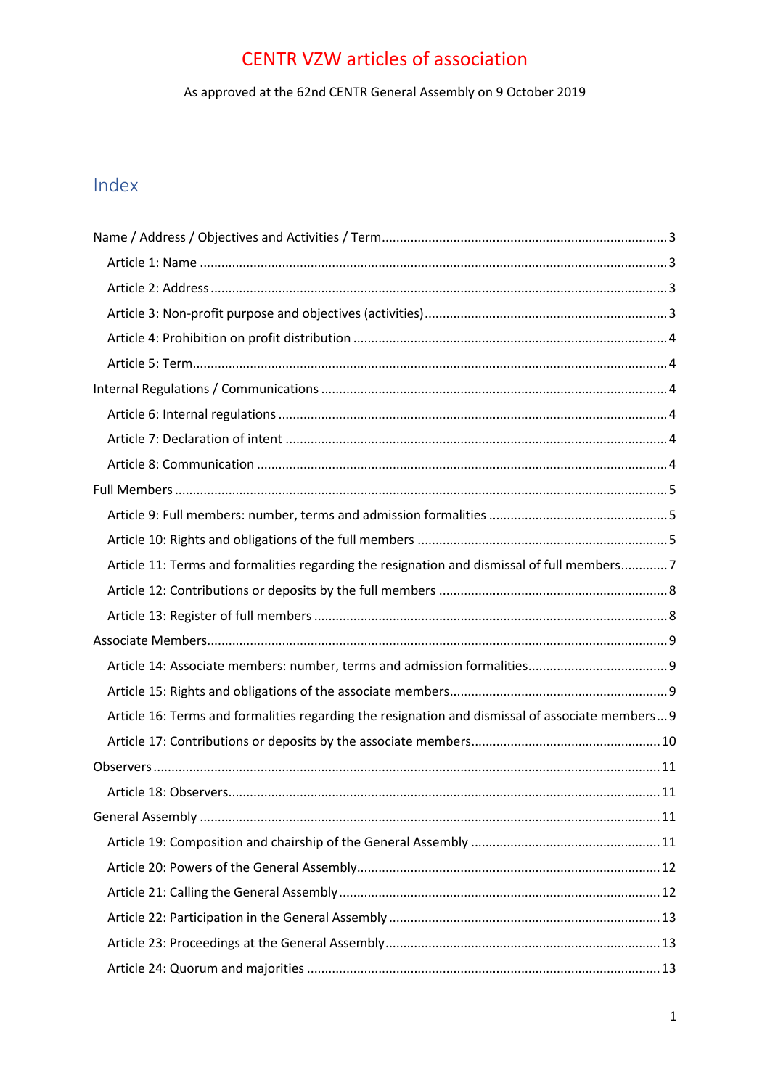As approved at the 62nd CENTR General Assembly on 9 October 2019

# Index

| Article 11: Terms and formalities regarding the resignation and dismissal of full members7       |  |
|--------------------------------------------------------------------------------------------------|--|
|                                                                                                  |  |
|                                                                                                  |  |
|                                                                                                  |  |
|                                                                                                  |  |
|                                                                                                  |  |
|                                                                                                  |  |
| Article 16: Terms and formalities regarding the resignation and dismissal of associate members 9 |  |
|                                                                                                  |  |
|                                                                                                  |  |
|                                                                                                  |  |
|                                                                                                  |  |
|                                                                                                  |  |
|                                                                                                  |  |
|                                                                                                  |  |
|                                                                                                  |  |
|                                                                                                  |  |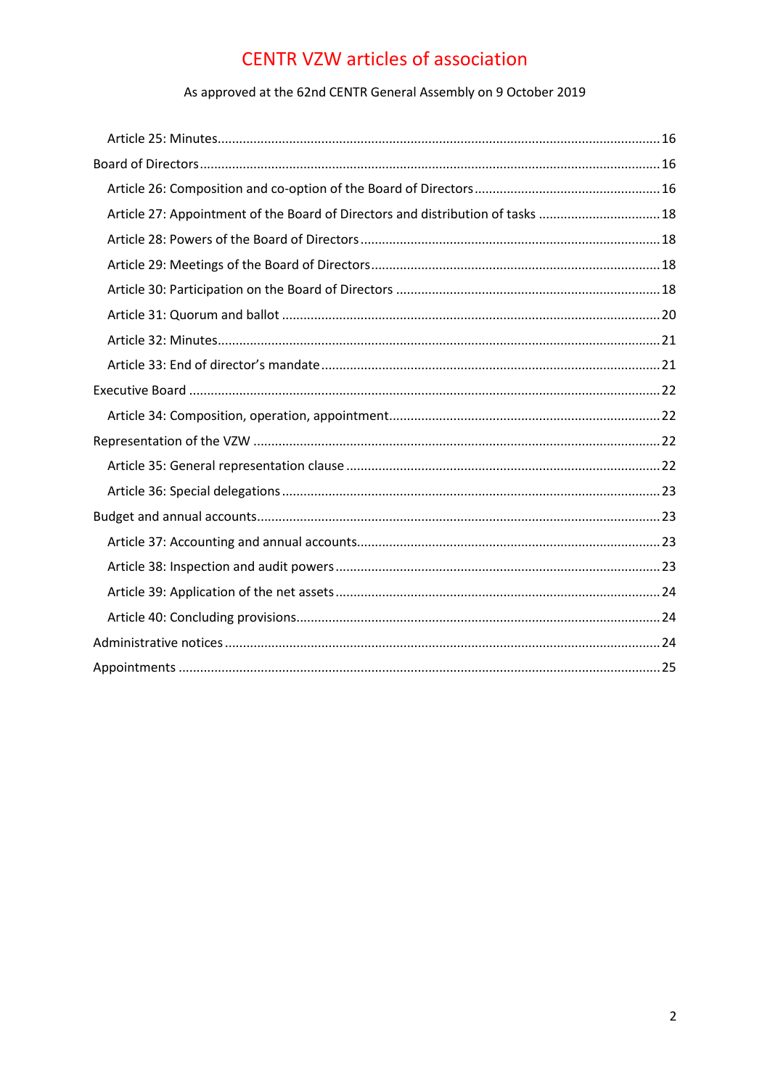### As approved at the 62nd CENTR General Assembly on 9 October 2019

| Article 27: Appointment of the Board of Directors and distribution of tasks  18 |  |
|---------------------------------------------------------------------------------|--|
|                                                                                 |  |
|                                                                                 |  |
|                                                                                 |  |
|                                                                                 |  |
|                                                                                 |  |
|                                                                                 |  |
|                                                                                 |  |
|                                                                                 |  |
|                                                                                 |  |
|                                                                                 |  |
|                                                                                 |  |
|                                                                                 |  |
|                                                                                 |  |
|                                                                                 |  |
|                                                                                 |  |
|                                                                                 |  |
|                                                                                 |  |
|                                                                                 |  |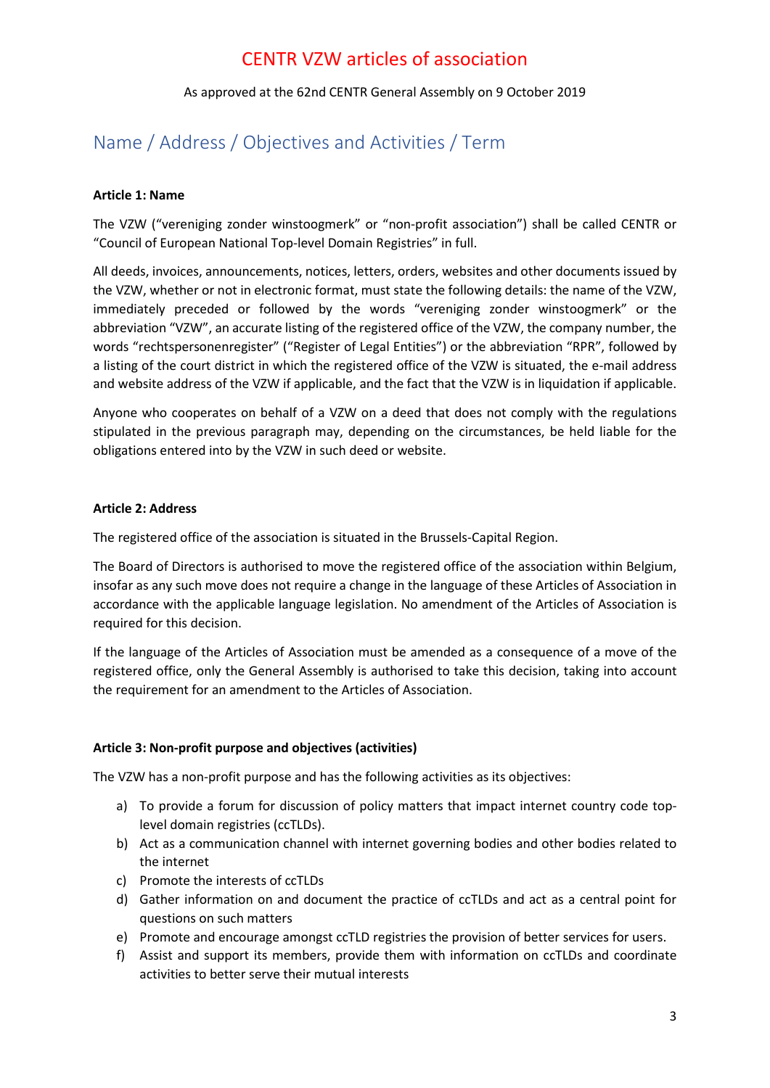### As approved at the 62nd CENTR General Assembly on 9 October 2019

### <span id="page-2-0"></span>Name / Address / Objectives and Activities / Term

### <span id="page-2-1"></span>**Article 1: Name**

The VZW ("vereniging zonder winstoogmerk" or "non-profit association") shall be called CENTR or "Council of European National Top-level Domain Registries" in full.

All deeds, invoices, announcements, notices, letters, orders, websites and other documents issued by the VZW, whether or not in electronic format, must state the following details: the name of the VZW, immediately preceded or followed by the words "vereniging zonder winstoogmerk" or the abbreviation "VZW", an accurate listing of the registered office of the VZW, the company number, the words "rechtspersonenregister" ("Register of Legal Entities") or the abbreviation "RPR", followed by a listing of the court district in which the registered office of the VZW is situated, the e-mail address and website address of the VZW if applicable, and the fact that the VZW is in liquidation if applicable.

Anyone who cooperates on behalf of a VZW on a deed that does not comply with the regulations stipulated in the previous paragraph may, depending on the circumstances, be held liable for the obligations entered into by the VZW in such deed or website.

### <span id="page-2-2"></span>**Article 2: Address**

The registered office of the association is situated in the Brussels-Capital Region.

The Board of Directors is authorised to move the registered office of the association within Belgium, insofar as any such move does not require a change in the language of these Articles of Association in accordance with the applicable language legislation. No amendment of the Articles of Association is required for this decision.

If the language of the Articles of Association must be amended as a consequence of a move of the registered office, only the General Assembly is authorised to take this decision, taking into account the requirement for an amendment to the Articles of Association.

### <span id="page-2-3"></span>**Article 3: Non-profit purpose and objectives (activities)**

The VZW has a non-profit purpose and has the following activities as its objectives:

- a) To provide a forum for discussion of policy matters that impact internet country code toplevel domain registries (ccTLDs).
- b) Act as a communication channel with internet governing bodies and other bodies related to the internet
- c) Promote the interests of ccTLDs
- d) Gather information on and document the practice of ccTLDs and act as a central point for questions on such matters
- e) Promote and encourage amongst ccTLD registries the provision of better services for users.
- f) Assist and support its members, provide them with information on ccTLDs and coordinate activities to better serve their mutual interests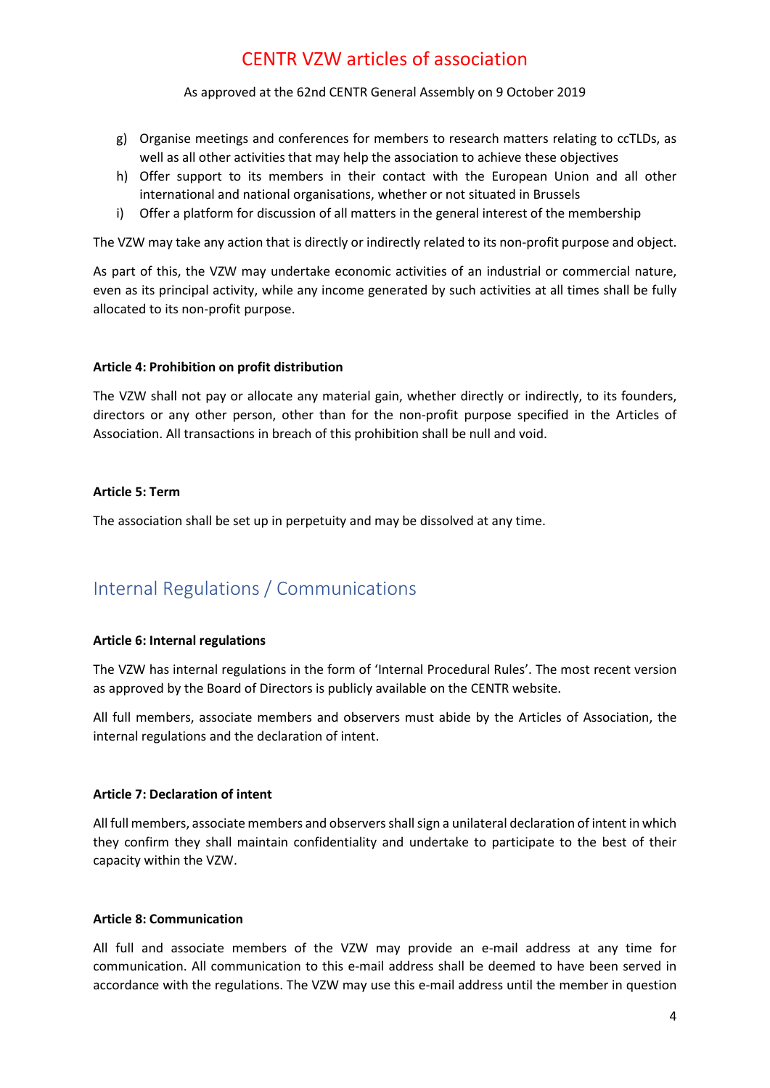As approved at the 62nd CENTR General Assembly on 9 October 2019

- g) Organise meetings and conferences for members to research matters relating to ccTLDs, as well as all other activities that may help the association to achieve these objectives
- h) Offer support to its members in their contact with the European Union and all other international and national organisations, whether or not situated in Brussels
- i) Offer a platform for discussion of all matters in the general interest of the membership

The VZW may take any action that is directly or indirectly related to its non-profit purpose and object.

As part of this, the VZW may undertake economic activities of an industrial or commercial nature, even as its principal activity, while any income generated by such activities at all times shall be fully allocated to its non-profit purpose.

### <span id="page-3-0"></span>**Article 4: Prohibition on profit distribution**

The VZW shall not pay or allocate any material gain, whether directly or indirectly, to its founders, directors or any other person, other than for the non-profit purpose specified in the Articles of Association. All transactions in breach of this prohibition shall be null and void.

#### <span id="page-3-1"></span>**Article 5: Term**

The association shall be set up in perpetuity and may be dissolved at any time.

## <span id="page-3-2"></span>Internal Regulations / Communications

### <span id="page-3-3"></span>**Article 6: Internal regulations**

The VZW has internal regulations in the form of 'Internal Procedural Rules'. The most recent version as approved by the Board of Directors is publicly available on the CENTR website.

All full members, associate members and observers must abide by the Articles of Association, the internal regulations and the declaration of intent.

### <span id="page-3-4"></span>**Article 7: Declaration of intent**

All full members, associate members and observers shall sign a unilateral declaration of intent in which they confirm they shall maintain confidentiality and undertake to participate to the best of their capacity within the VZW.

### <span id="page-3-5"></span>**Article 8: Communication**

All full and associate members of the VZW may provide an e-mail address at any time for communication. All communication to this e-mail address shall be deemed to have been served in accordance with the regulations. The VZW may use this e-mail address until the member in question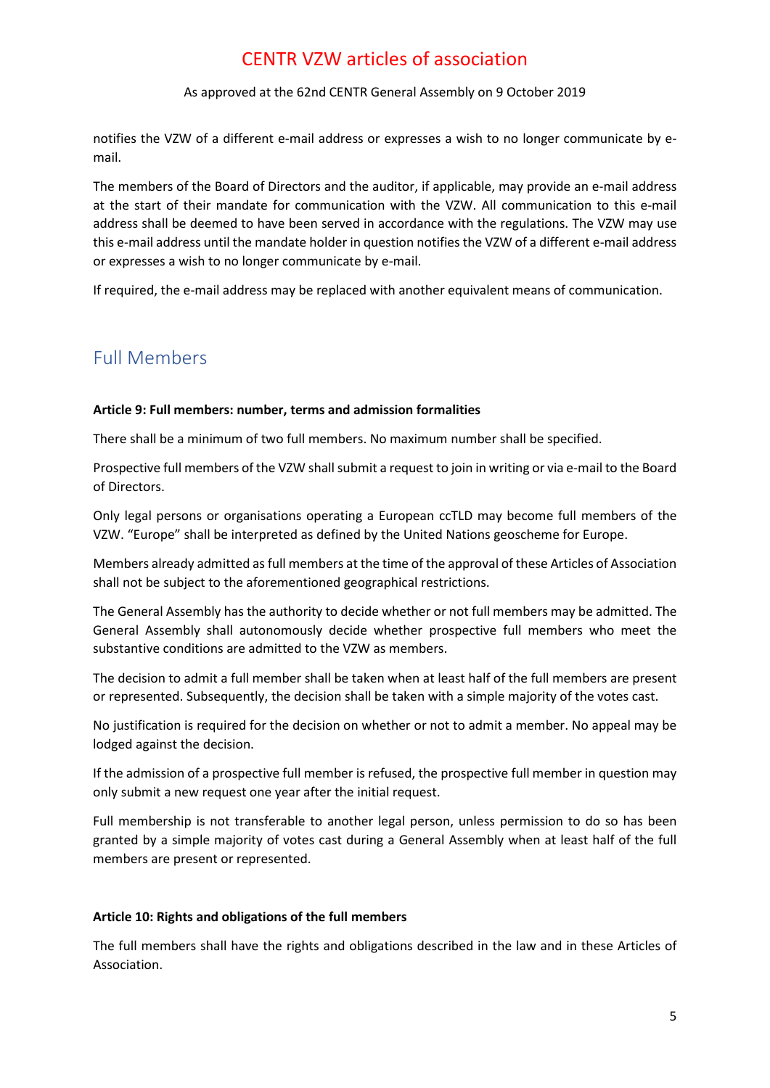### As approved at the 62nd CENTR General Assembly on 9 October 2019

notifies the VZW of a different e-mail address or expresses a wish to no longer communicate by email.

The members of the Board of Directors and the auditor, if applicable, may provide an e-mail address at the start of their mandate for communication with the VZW. All communication to this e-mail address shall be deemed to have been served in accordance with the regulations. The VZW may use this e-mail address until the mandate holder in question notifies the VZW of a different e-mail address or expresses a wish to no longer communicate by e-mail.

If required, the e-mail address may be replaced with another equivalent means of communication.

### <span id="page-4-0"></span>Full Members

### <span id="page-4-1"></span>**Article 9: Full members: number, terms and admission formalities**

There shall be a minimum of two full members. No maximum number shall be specified.

Prospective full members of the VZW shall submit a request to join in writing or via e-mail to the Board of Directors.

Only legal persons or organisations operating a European ccTLD may become full members of the VZW. "Europe" shall be interpreted as defined by the United Nations geoscheme for Europe.

Members already admitted as full members at the time of the approval of these Articles of Association shall not be subject to the aforementioned geographical restrictions.

The General Assembly has the authority to decide whether or not full members may be admitted. The General Assembly shall autonomously decide whether prospective full members who meet the substantive conditions are admitted to the VZW as members.

The decision to admit a full member shall be taken when at least half of the full members are present or represented. Subsequently, the decision shall be taken with a simple majority of the votes cast.

No justification is required for the decision on whether or not to admit a member. No appeal may be lodged against the decision.

If the admission of a prospective full member is refused, the prospective full member in question may only submit a new request one year after the initial request.

Full membership is not transferable to another legal person, unless permission to do so has been granted by a simple majority of votes cast during a General Assembly when at least half of the full members are present or represented.

### <span id="page-4-2"></span>**Article 10: Rights and obligations of the full members**

The full members shall have the rights and obligations described in the law and in these Articles of Association.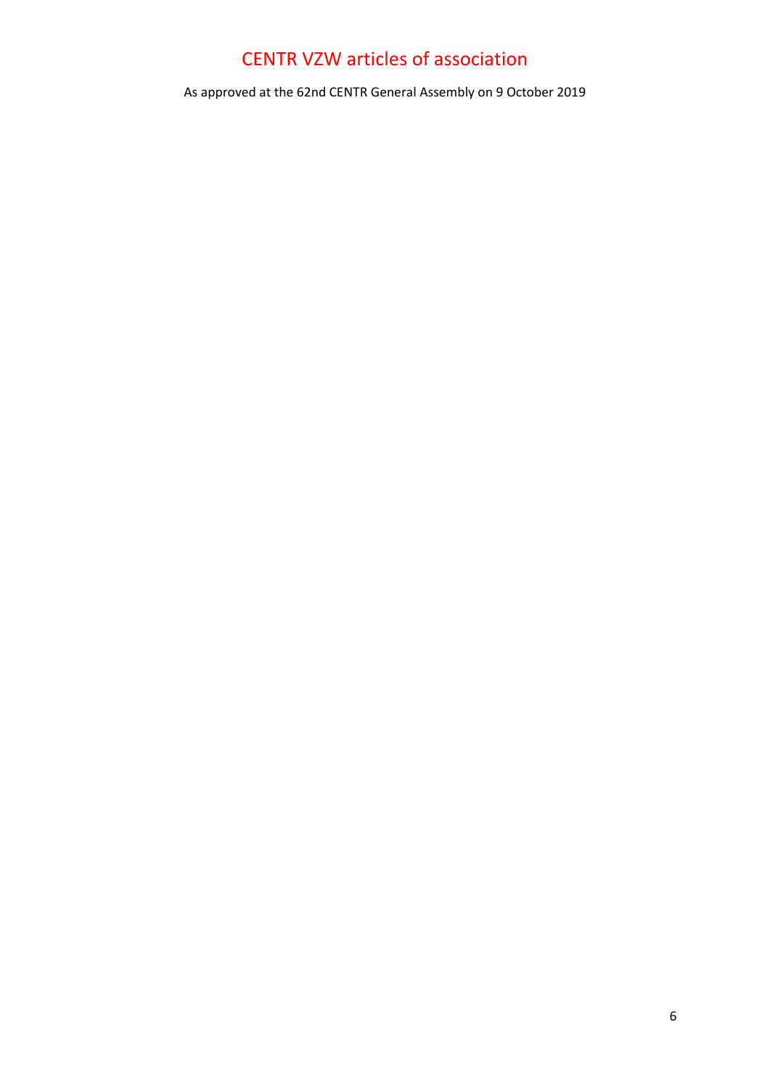As approved at the 62nd CENTR General Assembly on 9 October 2019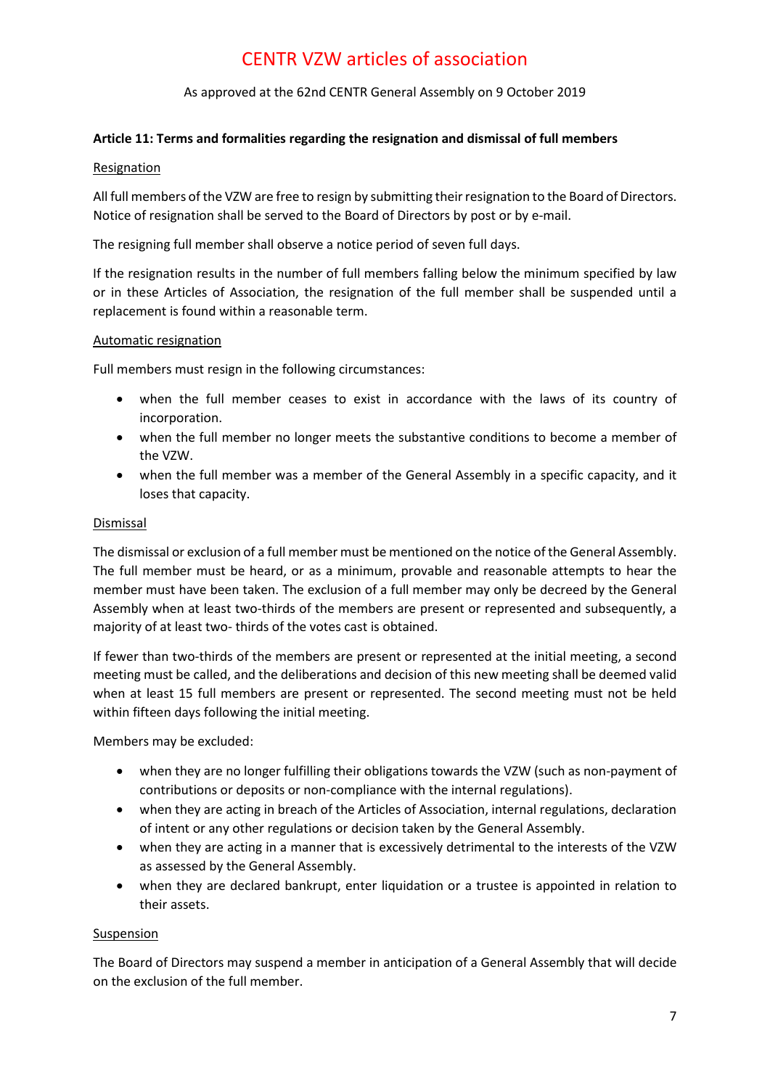As approved at the 62nd CENTR General Assembly on 9 October 2019

### <span id="page-6-0"></span>**Article 11: Terms and formalities regarding the resignation and dismissal of full members**

### Resignation

All full members of the VZW are free to resign by submitting their resignation to the Board of Directors. Notice of resignation shall be served to the Board of Directors by post or by e-mail.

The resigning full member shall observe a notice period of seven full days.

If the resignation results in the number of full members falling below the minimum specified by law or in these Articles of Association, the resignation of the full member shall be suspended until a replacement is found within a reasonable term.

### Automatic resignation

Full members must resign in the following circumstances:

- when the full member ceases to exist in accordance with the laws of its country of incorporation.
- when the full member no longer meets the substantive conditions to become a member of the VZW.
- when the full member was a member of the General Assembly in a specific capacity, and it loses that capacity.

### **Dismissal**

The dismissal or exclusion of a full member must be mentioned on the notice of the General Assembly. The full member must be heard, or as a minimum, provable and reasonable attempts to hear the member must have been taken. The exclusion of a full member may only be decreed by the General Assembly when at least two-thirds of the members are present or represented and subsequently, a majority of at least two- thirds of the votes cast is obtained.

If fewer than two-thirds of the members are present or represented at the initial meeting, a second meeting must be called, and the deliberations and decision of this new meeting shall be deemed valid when at least 15 full members are present or represented. The second meeting must not be held within fifteen days following the initial meeting.

Members may be excluded:

- when they are no longer fulfilling their obligations towards the VZW (such as non-payment of contributions or deposits or non-compliance with the internal regulations).
- when they are acting in breach of the Articles of Association, internal regulations, declaration of intent or any other regulations or decision taken by the General Assembly.
- when they are acting in a manner that is excessively detrimental to the interests of the VZW as assessed by the General Assembly.
- when they are declared bankrupt, enter liquidation or a trustee is appointed in relation to their assets.

### **Suspension**

The Board of Directors may suspend a member in anticipation of a General Assembly that will decide on the exclusion of the full member.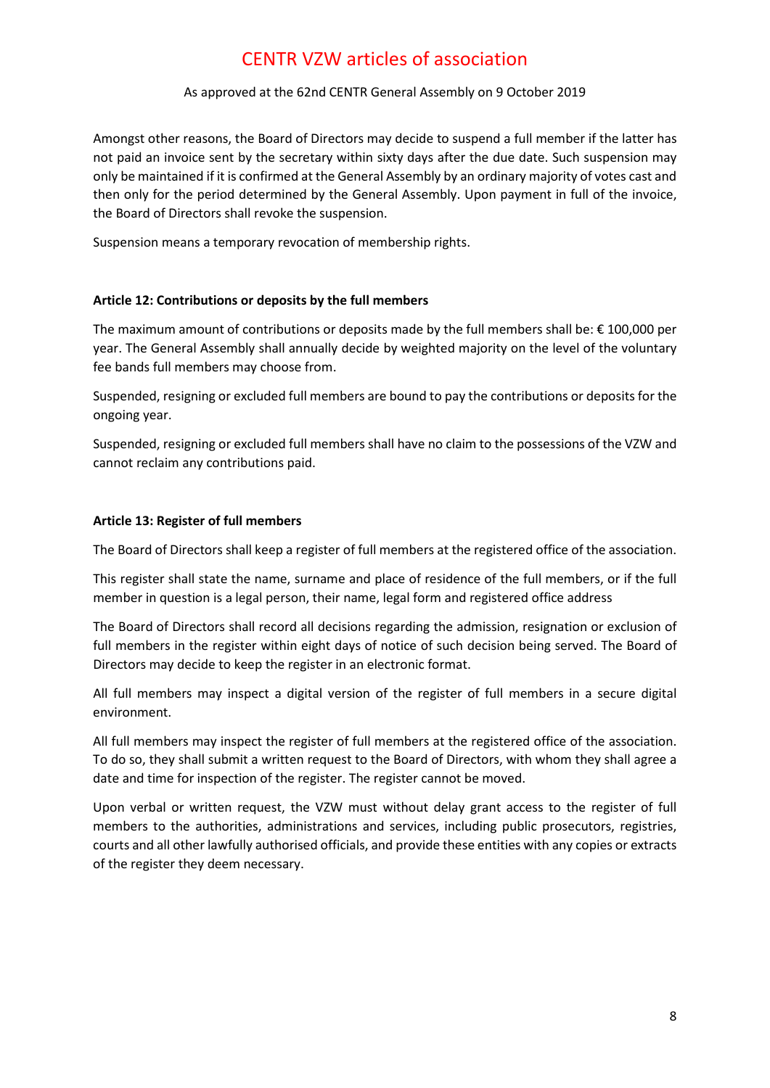### As approved at the 62nd CENTR General Assembly on 9 October 2019

Amongst other reasons, the Board of Directors may decide to suspend a full member if the latter has not paid an invoice sent by the secretary within sixty days after the due date. Such suspension may only be maintained if it is confirmed at the General Assembly by an ordinary majority of votes cast and then only for the period determined by the General Assembly. Upon payment in full of the invoice, the Board of Directors shall revoke the suspension.

Suspension means a temporary revocation of membership rights.

### <span id="page-7-0"></span>**Article 12: Contributions or deposits by the full members**

The maximum amount of contributions or deposits made by the full members shall be:  $\epsilon$  100,000 per year. The General Assembly shall annually decide by weighted majority on the level of the voluntary fee bands full members may choose from.

Suspended, resigning or excluded full members are bound to pay the contributions or deposits for the ongoing year.

Suspended, resigning or excluded full members shall have no claim to the possessions of the VZW and cannot reclaim any contributions paid.

### <span id="page-7-1"></span>**Article 13: Register of full members**

The Board of Directors shall keep a register of full members at the registered office of the association.

This register shall state the name, surname and place of residence of the full members, or if the full member in question is a legal person, their name, legal form and registered office address

The Board of Directors shall record all decisions regarding the admission, resignation or exclusion of full members in the register within eight days of notice of such decision being served. The Board of Directors may decide to keep the register in an electronic format.

All full members may inspect a digital version of the register of full members in a secure digital environment.

All full members may inspect the register of full members at the registered office of the association. To do so, they shall submit a written request to the Board of Directors, with whom they shall agree a date and time for inspection of the register. The register cannot be moved.

Upon verbal or written request, the VZW must without delay grant access to the register of full members to the authorities, administrations and services, including public prosecutors, registries, courts and all other lawfully authorised officials, and provide these entities with any copies or extracts of the register they deem necessary.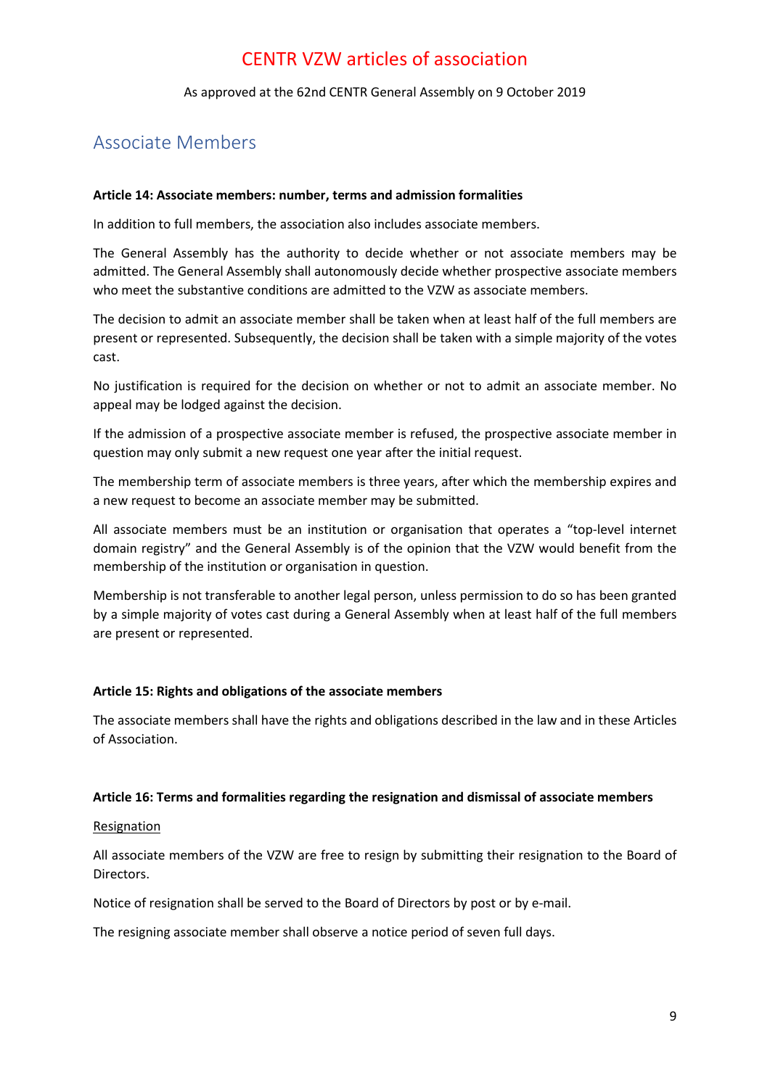As approved at the 62nd CENTR General Assembly on 9 October 2019

### <span id="page-8-0"></span>Associate Members

### <span id="page-8-1"></span>**Article 14: Associate members: number, terms and admission formalities**

In addition to full members, the association also includes associate members.

The General Assembly has the authority to decide whether or not associate members may be admitted. The General Assembly shall autonomously decide whether prospective associate members who meet the substantive conditions are admitted to the VZW as associate members.

The decision to admit an associate member shall be taken when at least half of the full members are present or represented. Subsequently, the decision shall be taken with a simple majority of the votes cast.

No justification is required for the decision on whether or not to admit an associate member. No appeal may be lodged against the decision.

If the admission of a prospective associate member is refused, the prospective associate member in question may only submit a new request one year after the initial request.

The membership term of associate members is three years, after which the membership expires and a new request to become an associate member may be submitted.

All associate members must be an institution or organisation that operates a "top-level internet domain registry" and the General Assembly is of the opinion that the VZW would benefit from the membership of the institution or organisation in question.

Membership is not transferable to another legal person, unless permission to do so has been granted by a simple majority of votes cast during a General Assembly when at least half of the full members are present or represented.

### <span id="page-8-2"></span>**Article 15: Rights and obligations of the associate members**

The associate members shall have the rights and obligations described in the law and in these Articles of Association.

### <span id="page-8-3"></span>**Article 16: Terms and formalities regarding the resignation and dismissal of associate members**

### Resignation

All associate members of the VZW are free to resign by submitting their resignation to the Board of Directors.

Notice of resignation shall be served to the Board of Directors by post or by e-mail.

The resigning associate member shall observe a notice period of seven full days.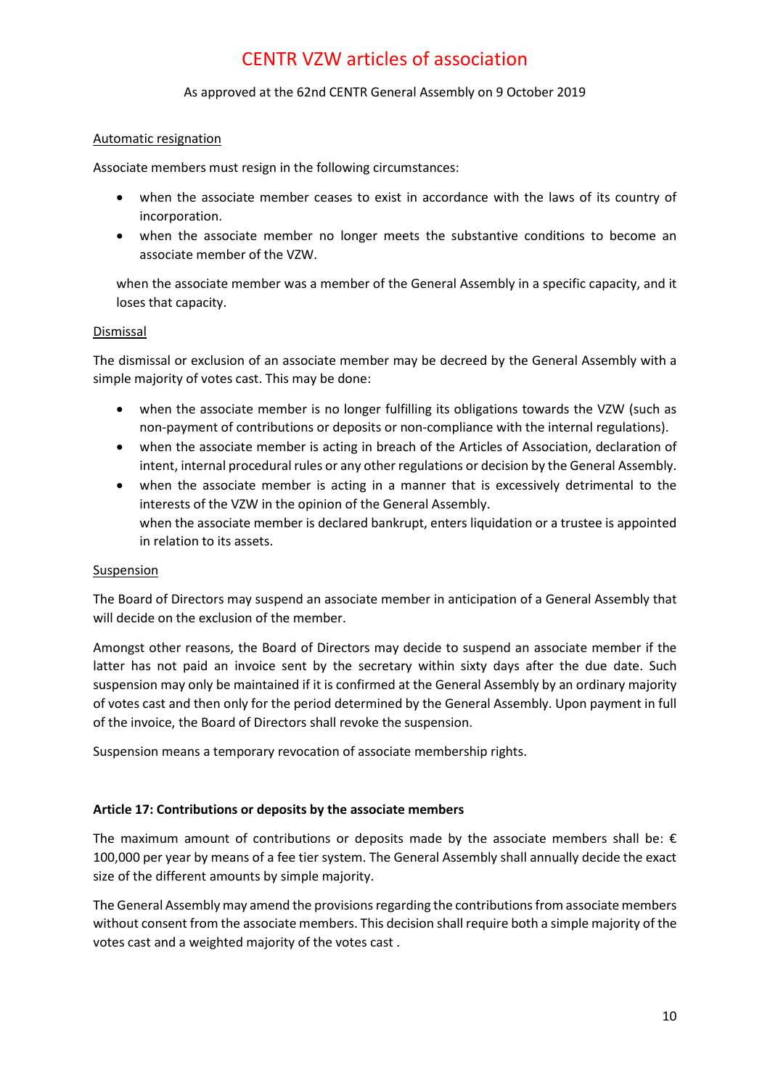### As approved at the 62nd CENTR General Assembly on 9 October 2019

### Automatic resignation

Associate members must resign in the following circumstances:

- when the associate member ceases to exist in accordance with the laws of its country of incorporation.
- when the associate member no longer meets the substantive conditions to become an associate member of the VZW.

when the associate member was a member of the General Assembly in a specific capacity, and it loses that capacity.

### Dismissal

The dismissal or exclusion of an associate member may be decreed by the General Assembly with a simple majority of votes cast. This may be done:

- when the associate member is no longer fulfilling its obligations towards the VZW (such as non-payment of contributions or deposits or non-compliance with the internal regulations).
- when the associate member is acting in breach of the Articles of Association, declaration of intent, internal procedural rules or any other regulations or decision by the General Assembly.
- when the associate member is acting in a manner that is excessively detrimental to the interests of the VZW in the opinion of the General Assembly. when the associate member is declared bankrupt, enters liquidation or a trustee is appointed in relation to its assets.

### Suspension

The Board of Directors may suspend an associate member in anticipation of a General Assembly that will decide on the exclusion of the member.

Amongst other reasons, the Board of Directors may decide to suspend an associate member if the latter has not paid an invoice sent by the secretary within sixty days after the due date. Such suspension may only be maintained if it is confirmed at the General Assembly by an ordinary majority of votes cast and then only for the period determined by the General Assembly. Upon payment in full of the invoice, the Board of Directors shall revoke the suspension.

Suspension means a temporary revocation of associate membership rights.

### <span id="page-9-0"></span>**Article 17: Contributions or deposits by the associate members**

The maximum amount of contributions or deposits made by the associate members shall be:  $\epsilon$ 100,000 per year by means of a fee tier system. The General Assembly shall annually decide the exact size of the different amounts by simple majority.

The General Assembly may amend the provisions regarding the contributions from associate members without consent from the associate members. This decision shall require both a simple majority of the votes cast and a weighted majority of the votes cast .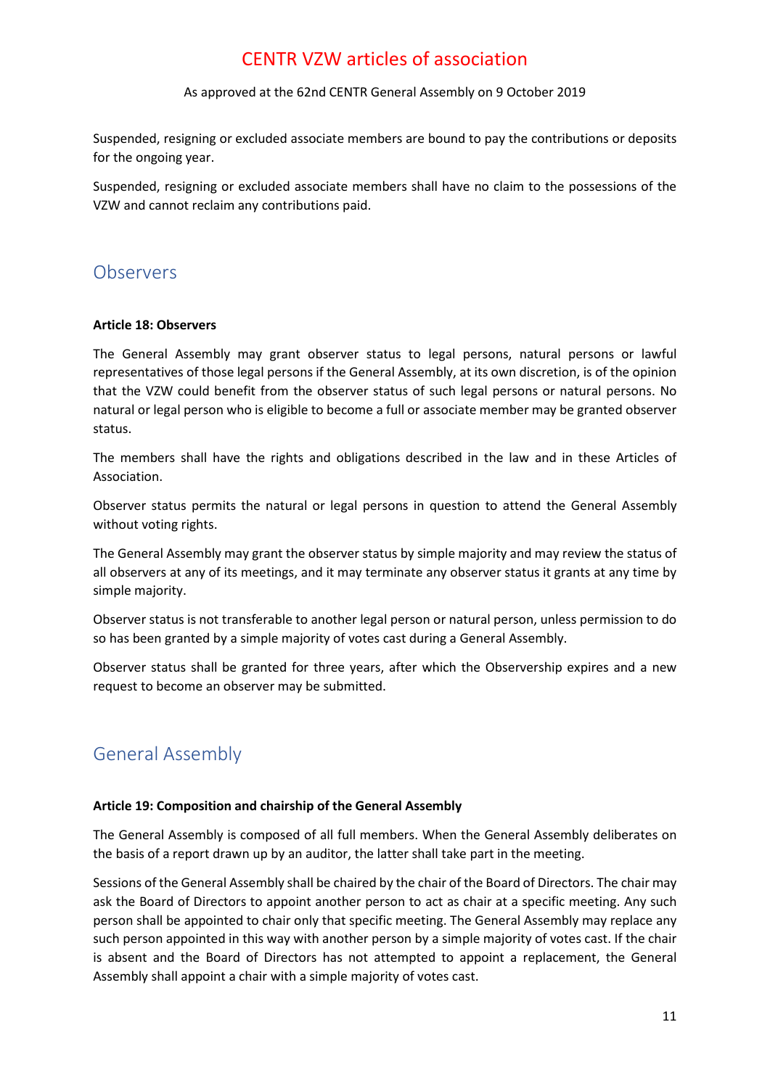### As approved at the 62nd CENTR General Assembly on 9 October 2019

Suspended, resigning or excluded associate members are bound to pay the contributions or deposits for the ongoing year.

Suspended, resigning or excluded associate members shall have no claim to the possessions of the VZW and cannot reclaim any contributions paid.

### <span id="page-10-0"></span>**Observers**

### <span id="page-10-1"></span>**Article 18: Observers**

The General Assembly may grant observer status to legal persons, natural persons or lawful representatives of those legal persons if the General Assembly, at its own discretion, is of the opinion that the VZW could benefit from the observer status of such legal persons or natural persons. No natural or legal person who is eligible to become a full or associate member may be granted observer status.

The members shall have the rights and obligations described in the law and in these Articles of Association.

Observer status permits the natural or legal persons in question to attend the General Assembly without voting rights.

The General Assembly may grant the observer status by simple majority and may review the status of all observers at any of its meetings, and it may terminate any observer status it grants at any time by simple majority.

Observer status is not transferable to another legal person or natural person, unless permission to do so has been granted by a simple majority of votes cast during a General Assembly.

Observer status shall be granted for three years, after which the Observership expires and a new request to become an observer may be submitted.

### <span id="page-10-2"></span>General Assembly

### <span id="page-10-3"></span>**Article 19: Composition and chairship of the General Assembly**

The General Assembly is composed of all full members. When the General Assembly deliberates on the basis of a report drawn up by an auditor, the latter shall take part in the meeting.

<span id="page-10-4"></span>Sessions of the General Assembly shall be chaired by the chair of the Board of Directors. The chair may ask the Board of Directors to appoint another person to act as chair at a specific meeting. Any such person shall be appointed to chair only that specific meeting. The General Assembly may replace any such person appointed in this way with another person by a simple majority of votes cast. If the chair is absent and the Board of Directors has not attempted to appoint a replacement, the General Assembly shall appoint a chair with a simple majority of votes cast.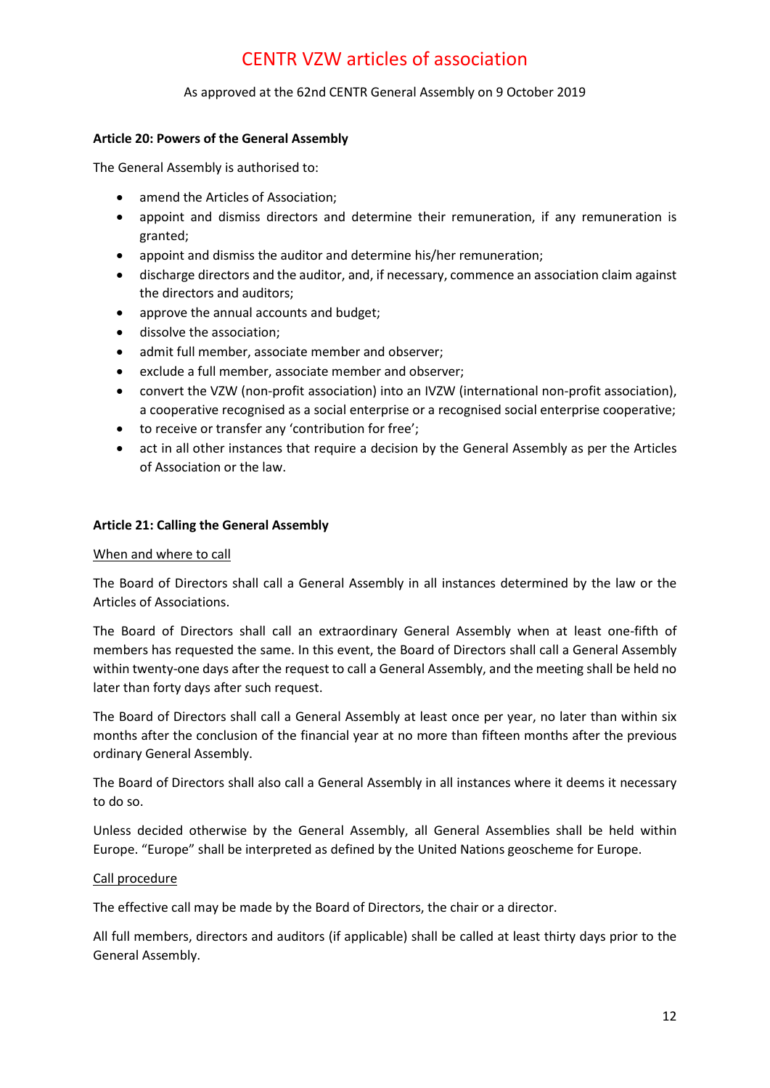### As approved at the 62nd CENTR General Assembly on 9 October 2019

### **Article 20: Powers of the General Assembly**

The General Assembly is authorised to:

- amend the Articles of Association;
- appoint and dismiss directors and determine their remuneration, if any remuneration is granted;
- appoint and dismiss the auditor and determine his/her remuneration;
- discharge directors and the auditor, and, if necessary, commence an association claim against the directors and auditors;
- approve the annual accounts and budget;
- dissolve the association;
- admit full member, associate member and observer;
- exclude a full member, associate member and observer;
- convert the VZW (non-profit association) into an IVZW (international non-profit association), a cooperative recognised as a social enterprise or a recognised social enterprise cooperative;
- to receive or transfer any 'contribution for free';
- act in all other instances that require a decision by the General Assembly as per the Articles of Association or the law.

### <span id="page-11-0"></span>**Article 21: Calling the General Assembly**

### When and where to call

The Board of Directors shall call a General Assembly in all instances determined by the law or the Articles of Associations.

The Board of Directors shall call an extraordinary General Assembly when at least one-fifth of members has requested the same. In this event, the Board of Directors shall call a General Assembly within twenty-one days after the request to call a General Assembly, and the meeting shall be held no later than forty days after such request.

The Board of Directors shall call a General Assembly at least once per year, no later than within six months after the conclusion of the financial year at no more than fifteen months after the previous ordinary General Assembly.

The Board of Directors shall also call a General Assembly in all instances where it deems it necessary to do so.

Unless decided otherwise by the General Assembly, all General Assemblies shall be held within Europe. "Europe" shall be interpreted as defined by the United Nations geoscheme for Europe.

### Call procedure

The effective call may be made by the Board of Directors, the chair or a director.

All full members, directors and auditors (if applicable) shall be called at least thirty days prior to the General Assembly.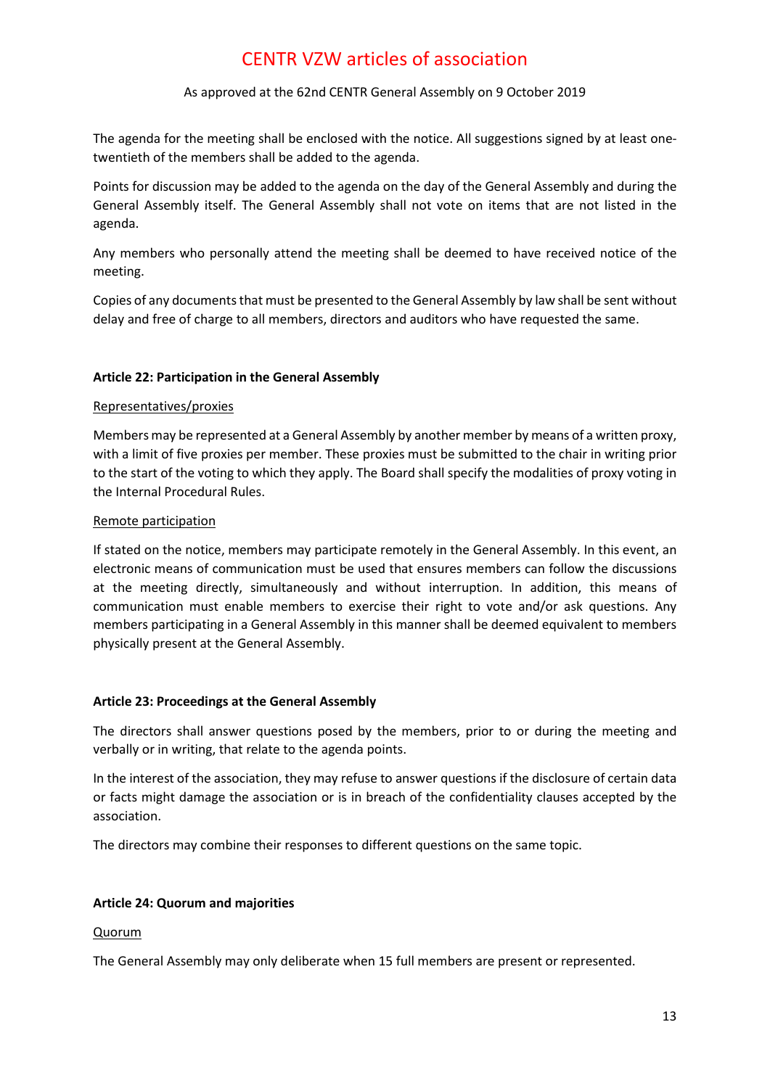### As approved at the 62nd CENTR General Assembly on 9 October 2019

The agenda for the meeting shall be enclosed with the notice. All suggestions signed by at least onetwentieth of the members shall be added to the agenda.

Points for discussion may be added to the agenda on the day of the General Assembly and during the General Assembly itself. The General Assembly shall not vote on items that are not listed in the agenda.

Any members who personally attend the meeting shall be deemed to have received notice of the meeting.

Copies of any documents that must be presented to the General Assembly by law shall be sent without delay and free of charge to all members, directors and auditors who have requested the same.

### <span id="page-12-0"></span>**Article 22: Participation in the General Assembly**

### Representatives/proxies

Members may be represented at a General Assembly by another member by means of a written proxy, with a limit of five proxies per member. These proxies must be submitted to the chair in writing prior to the start of the voting to which they apply. The Board shall specify the modalities of proxy voting in the Internal Procedural Rules.

#### Remote participation

If stated on the notice, members may participate remotely in the General Assembly. In this event, an electronic means of communication must be used that ensures members can follow the discussions at the meeting directly, simultaneously and without interruption. In addition, this means of communication must enable members to exercise their right to vote and/or ask questions. Any members participating in a General Assembly in this manner shall be deemed equivalent to members physically present at the General Assembly.

### <span id="page-12-1"></span>**Article 23: Proceedings at the General Assembly**

The directors shall answer questions posed by the members, prior to or during the meeting and verbally or in writing, that relate to the agenda points.

In the interest of the association, they may refuse to answer questions if the disclosure of certain data or facts might damage the association or is in breach of the confidentiality clauses accepted by the association.

The directors may combine their responses to different questions on the same topic.

### <span id="page-12-2"></span>**Article 24: Quorum and majorities**

#### **Quorum**

The General Assembly may only deliberate when 15 full members are present or represented.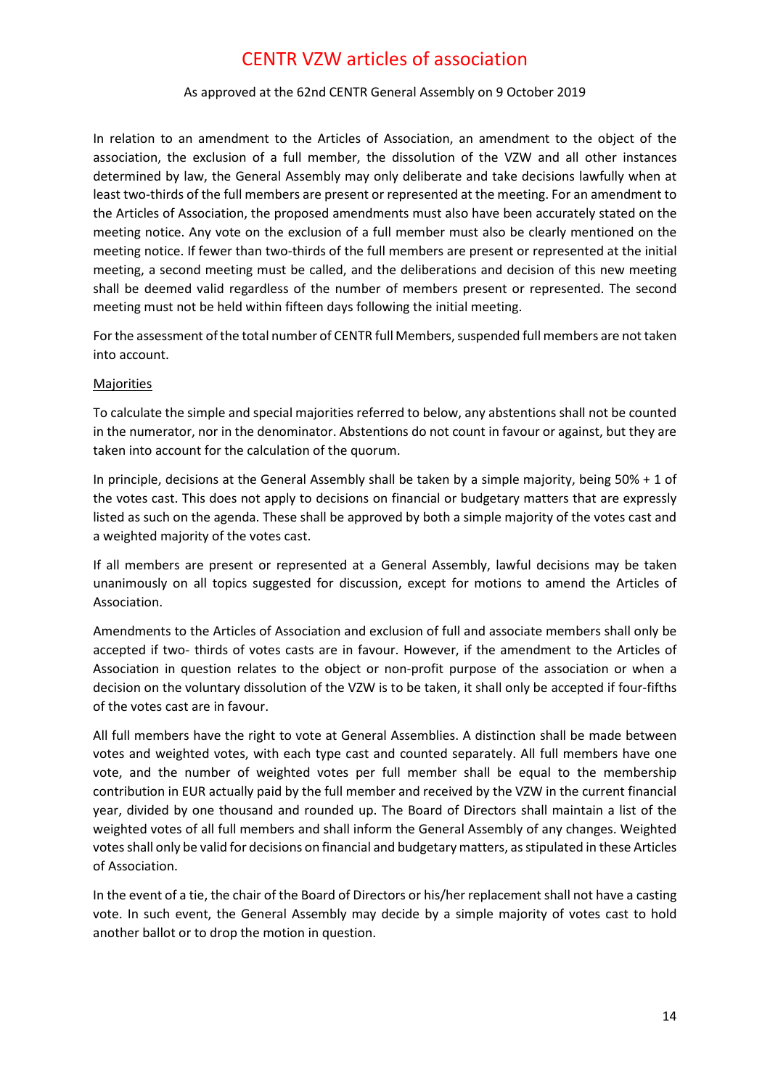### As approved at the 62nd CENTR General Assembly on 9 October 2019

In relation to an amendment to the Articles of Association, an amendment to the object of the association, the exclusion of a full member, the dissolution of the VZW and all other instances determined by law, the General Assembly may only deliberate and take decisions lawfully when at least two-thirds of the full members are present or represented at the meeting. For an amendment to the Articles of Association, the proposed amendments must also have been accurately stated on the meeting notice. Any vote on the exclusion of a full member must also be clearly mentioned on the meeting notice. If fewer than two-thirds of the full members are present or represented at the initial meeting, a second meeting must be called, and the deliberations and decision of this new meeting shall be deemed valid regardless of the number of members present or represented. The second meeting must not be held within fifteen days following the initial meeting.

For the assessment of the total number of CENTR full Members, suspended full members are not taken into account.

### **Majorities**

To calculate the simple and special majorities referred to below, any abstentions shall not be counted in the numerator, nor in the denominator. Abstentions do not count in favour or against, but they are taken into account for the calculation of the quorum.

In principle, decisions at the General Assembly shall be taken by a simple majority, being 50% + 1 of the votes cast. This does not apply to decisions on financial or budgetary matters that are expressly listed as such on the agenda. These shall be approved by both a simple majority of the votes cast and a weighted majority of the votes cast.

If all members are present or represented at a General Assembly, lawful decisions may be taken unanimously on all topics suggested for discussion, except for motions to amend the Articles of Association.

Amendments to the Articles of Association and exclusion of full and associate members shall only be accepted if two- thirds of votes casts are in favour. However, if the amendment to the Articles of Association in question relates to the object or non-profit purpose of the association or when a decision on the voluntary dissolution of the VZW is to be taken, it shall only be accepted if four-fifths of the votes cast are in favour.

All full members have the right to vote at General Assemblies. A distinction shall be made between votes and weighted votes, with each type cast and counted separately. All full members have one vote, and the number of weighted votes per full member shall be equal to the membership contribution in EUR actually paid by the full member and received by the VZW in the current financial year, divided by one thousand and rounded up. The Board of Directors shall maintain a list of the weighted votes of all full members and shall inform the General Assembly of any changes. Weighted votes shall only be valid for decisions on financial and budgetary matters, as stipulated in these Articles of Association.

In the event of a tie, the chair of the Board of Directors or his/her replacement shall not have a casting vote. In such event, the General Assembly may decide by a simple majority of votes cast to hold another ballot or to drop the motion in question.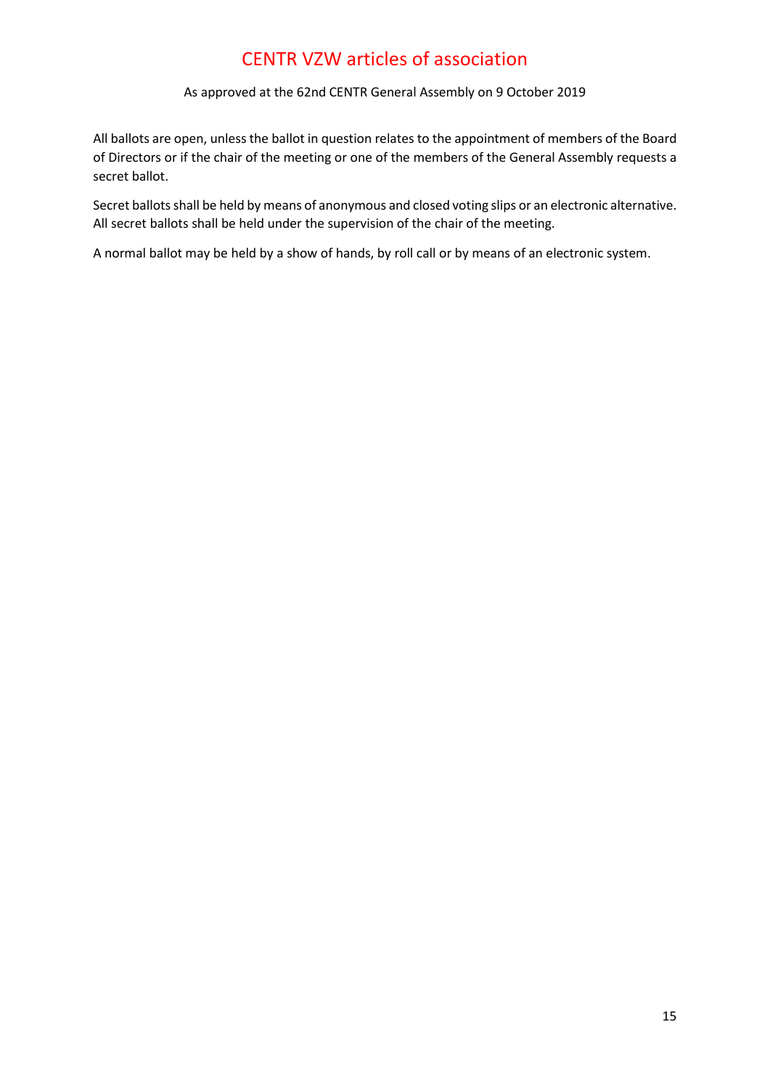As approved at the 62nd CENTR General Assembly on 9 October 2019

All ballots are open, unless the ballot in question relates to the appointment of members of the Board of Directors or if the chair of the meeting or one of the members of the General Assembly requests a secret ballot.

Secret ballots shall be held by means of anonymous and closed voting slips or an electronic alternative. All secret ballots shall be held under the supervision of the chair of the meeting.

A normal ballot may be held by a show of hands, by roll call or by means of an electronic system.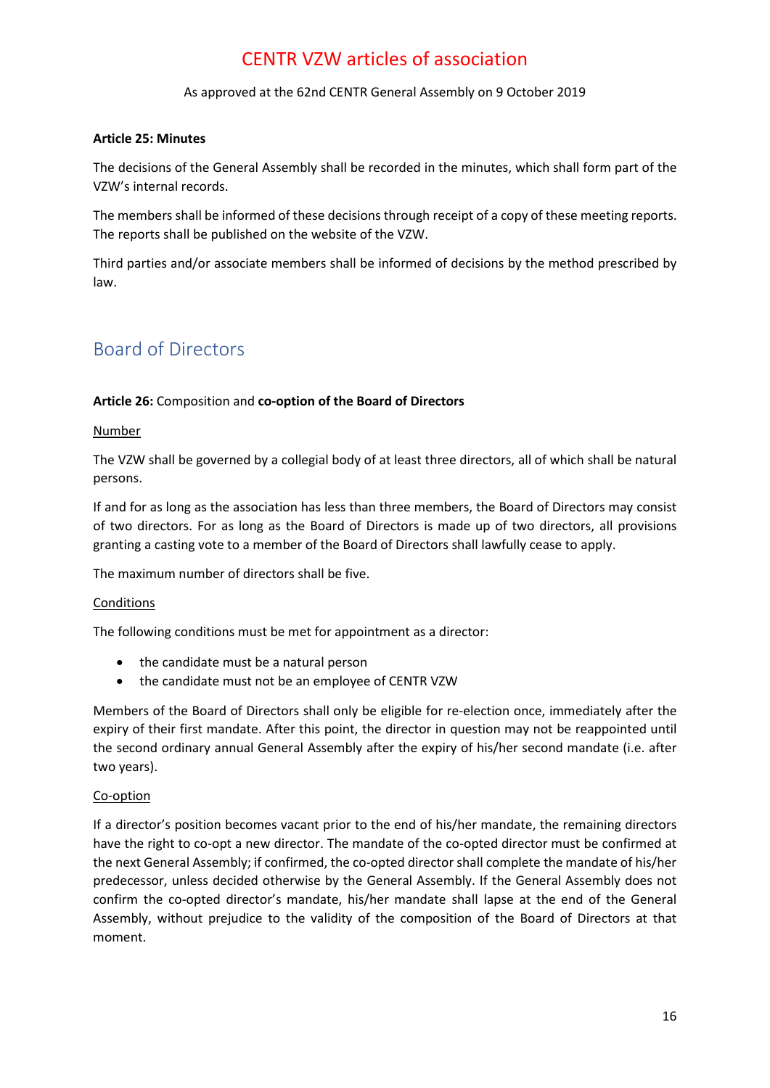As approved at the 62nd CENTR General Assembly on 9 October 2019

### <span id="page-15-0"></span>**Article 25: Minutes**

The decisions of the General Assembly shall be recorded in the minutes, which shall form part of the VZW's internal records.

The members shall be informed of these decisions through receipt of a copy of these meeting reports. The reports shall be published on the website of the VZW.

Third parties and/or associate members shall be informed of decisions by the method prescribed by law.

### <span id="page-15-1"></span>Board of Directors

### <span id="page-15-2"></span>**Article 26:** Composition and **co-option of the Board of Directors**

### Number

The VZW shall be governed by a collegial body of at least three directors, all of which shall be natural persons.

If and for as long as the association has less than three members, the Board of Directors may consist of two directors. For as long as the Board of Directors is made up of two directors, all provisions granting a casting vote to a member of the Board of Directors shall lawfully cease to apply.

The maximum number of directors shall be five.

### **Conditions**

The following conditions must be met for appointment as a director:

- the candidate must be a natural person
- the candidate must not be an employee of CENTR VZW

Members of the Board of Directors shall only be eligible for re-election once, immediately after the expiry of their first mandate. After this point, the director in question may not be reappointed until the second ordinary annual General Assembly after the expiry of his/her second mandate (i.e. after two years).

### Co-option

If a director's position becomes vacant prior to the end of his/her mandate, the remaining directors have the right to co-opt a new director. The mandate of the co-opted director must be confirmed at the next General Assembly; if confirmed, the co-opted director shall complete the mandate of his/her predecessor, unless decided otherwise by the General Assembly. If the General Assembly does not confirm the co-opted director's mandate, his/her mandate shall lapse at the end of the General Assembly, without prejudice to the validity of the composition of the Board of Directors at that moment.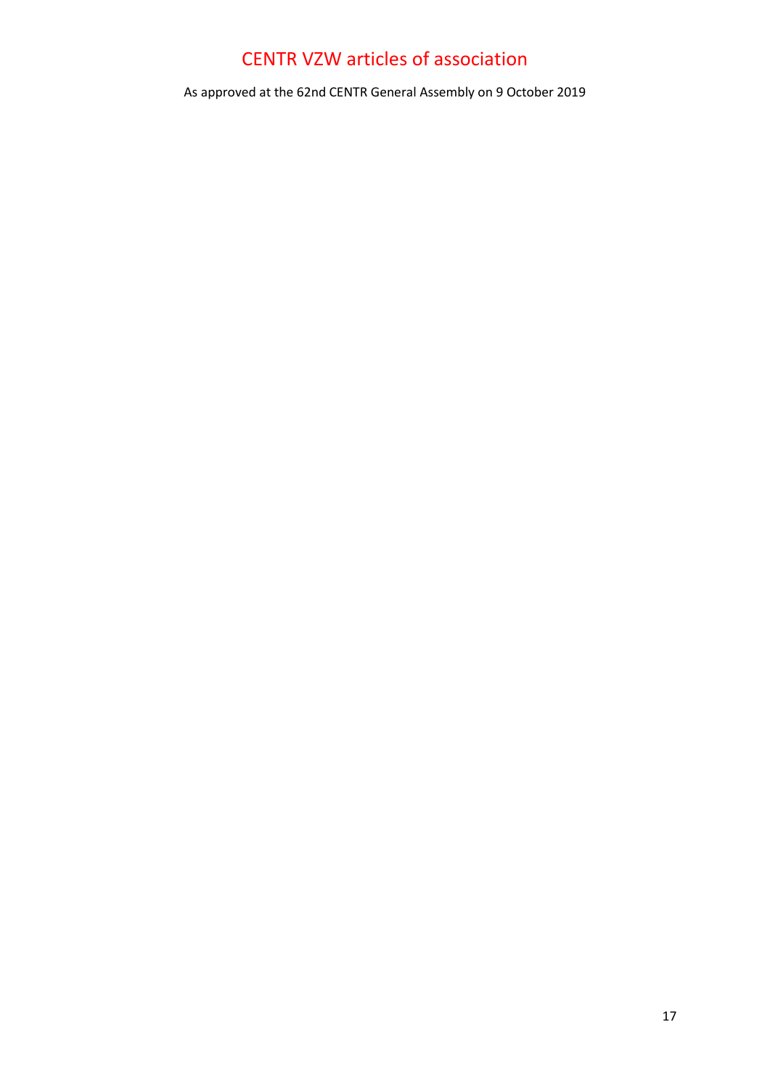As approved at the 62nd CENTR General Assembly on 9 October 2019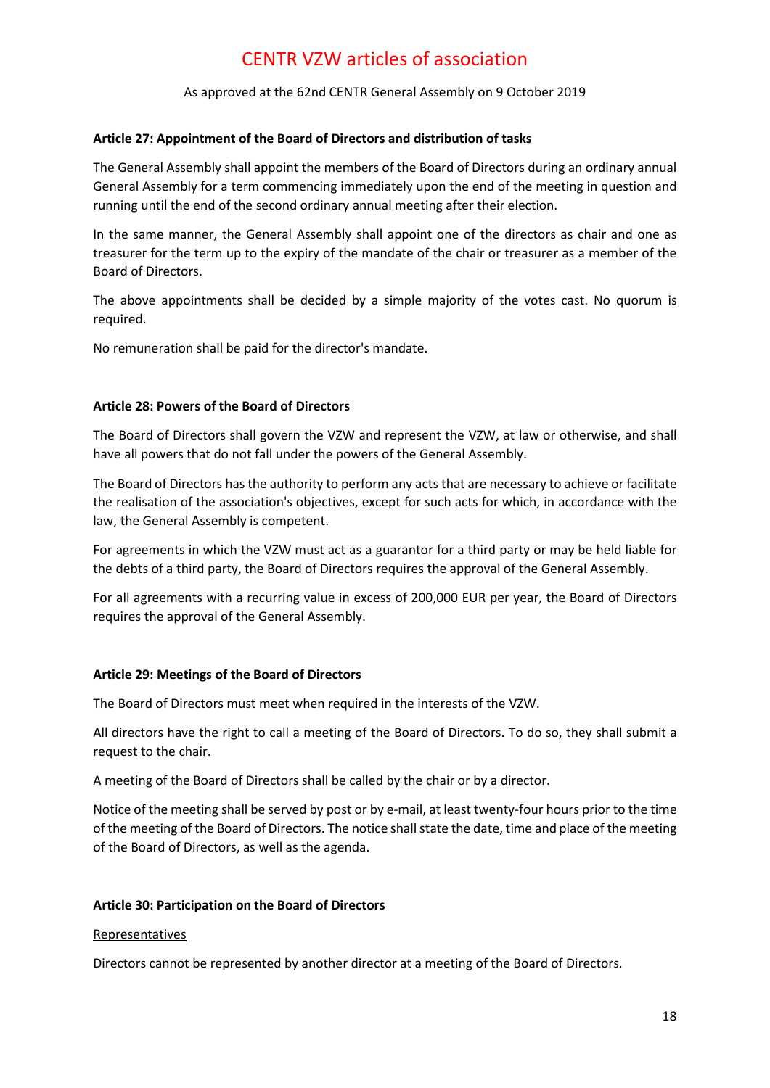As approved at the 62nd CENTR General Assembly on 9 October 2019

#### <span id="page-17-0"></span>**Article 27: Appointment of the Board of Directors and distribution of tasks**

The General Assembly shall appoint the members of the Board of Directors during an ordinary annual General Assembly for a term commencing immediately upon the end of the meeting in question and running until the end of the second ordinary annual meeting after their election.

In the same manner, the General Assembly shall appoint one of the directors as chair and one as treasurer for the term up to the expiry of the mandate of the chair or treasurer as a member of the Board of Directors.

The above appointments shall be decided by a simple majority of the votes cast. No quorum is required.

No remuneration shall be paid for the director's mandate.

#### <span id="page-17-1"></span>**Article 28: Powers of the Board of Directors**

The Board of Directors shall govern the VZW and represent the VZW, at law or otherwise, and shall have all powers that do not fall under the powers of the General Assembly.

The Board of Directors has the authority to perform any acts that are necessary to achieve or facilitate the realisation of the association's objectives, except for such acts for which, in accordance with the law, the General Assembly is competent.

For agreements in which the VZW must act as a guarantor for a third party or may be held liable for the debts of a third party, the Board of Directors requires the approval of the General Assembly.

For all agreements with a recurring value in excess of 200,000 EUR per year, the Board of Directors requires the approval of the General Assembly.

### <span id="page-17-2"></span>**Article 29: Meetings of the Board of Directors**

The Board of Directors must meet when required in the interests of the VZW.

All directors have the right to call a meeting of the Board of Directors. To do so, they shall submit a request to the chair.

A meeting of the Board of Directors shall be called by the chair or by a director.

Notice of the meeting shall be served by post or by e-mail, at least twenty-four hours prior to the time of the meeting of the Board of Directors. The notice shall state the date, time and place of the meeting of the Board of Directors, as well as the agenda.

#### <span id="page-17-3"></span>**Article 30: Participation on the Board of Directors**

#### Representatives

Directors cannot be represented by another director at a meeting of the Board of Directors.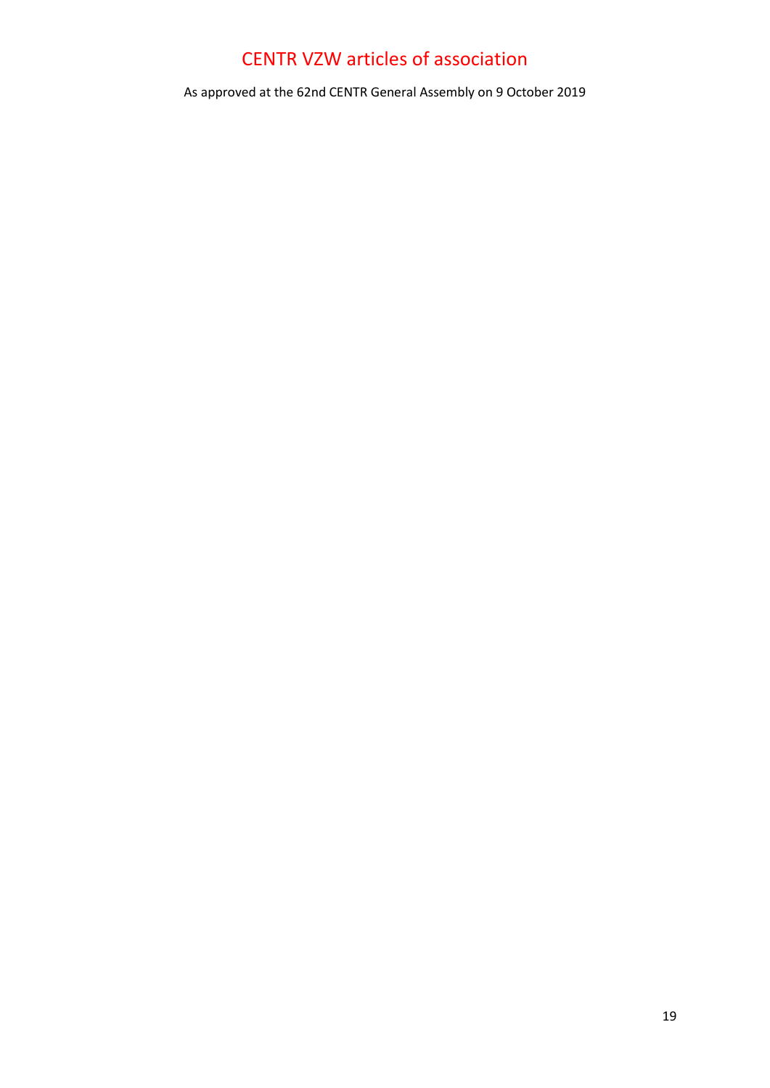As approved at the 62nd CENTR General Assembly on 9 October 2019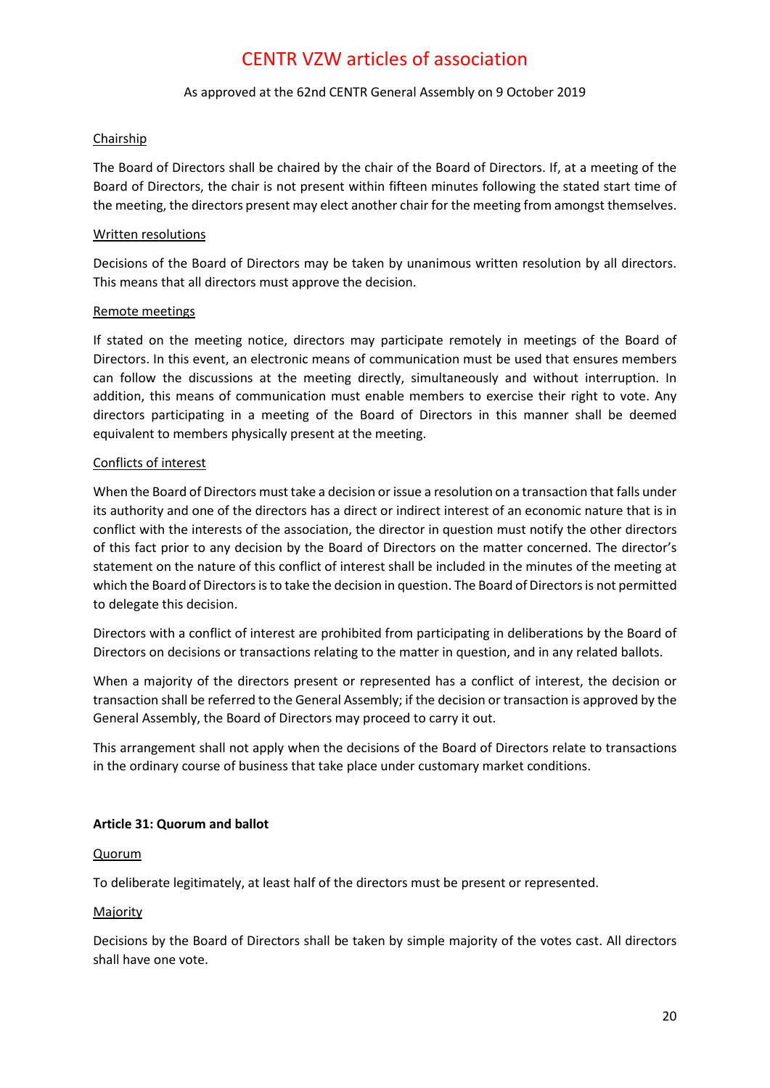### As approved at the 62nd CENTR General Assembly on 9 October 2019

### Chairship

The Board of Directors shall be chaired by the chair of the Board of Directors. If, at a meeting of the Board of Directors, the chair is not present within fifteen minutes following the stated start time of the meeting, the directors present may elect another chair for the meeting from amongst themselves.

### Written resolutions

Decisions of the Board of Directors may be taken by unanimous written resolution by all directors. This means that all directors must approve the decision.

### Remote meetings

If stated on the meeting notice, directors may participate remotely in meetings of the Board of Directors. In this event, an electronic means of communication must be used that ensures members can follow the discussions at the meeting directly, simultaneously and without interruption. In addition, this means of communication must enable members to exercise their right to vote. Any directors participating in a meeting of the Board of Directors in this manner shall be deemed equivalent to members physically present at the meeting.

### Conflicts of interest

When the Board of Directors must take a decision or issue a resolution on a transaction that falls under its authority and one of the directors has a direct or indirect interest of an economic nature that is in conflict with the interests of the association, the director in question must notify the other directors of this fact prior to any decision by the Board of Directors on the matter concerned. The director's statement on the nature of this conflict of interest shall be included in the minutes of the meeting at which the Board of Directors is to take the decision in question. The Board of Directors is not permitted to delegate this decision.

Directors with a conflict of interest are prohibited from participating in deliberations by the Board of Directors on decisions or transactions relating to the matter in question, and in any related ballots.

When a majority of the directors present or represented has a conflict of interest, the decision or transaction shall be referred to the General Assembly; if the decision or transaction is approved by the General Assembly, the Board of Directors may proceed to carry it out.

This arrangement shall not apply when the decisions of the Board of Directors relate to transactions in the ordinary course of business that take place under customary market conditions.

### <span id="page-19-0"></span>**Article 31: Quorum and ballot**

### Quorum

To deliberate legitimately, at least half of the directors must be present or represented.

### Majority

Decisions by the Board of Directors shall be taken by simple majority of the votes cast. All directors shall have one vote.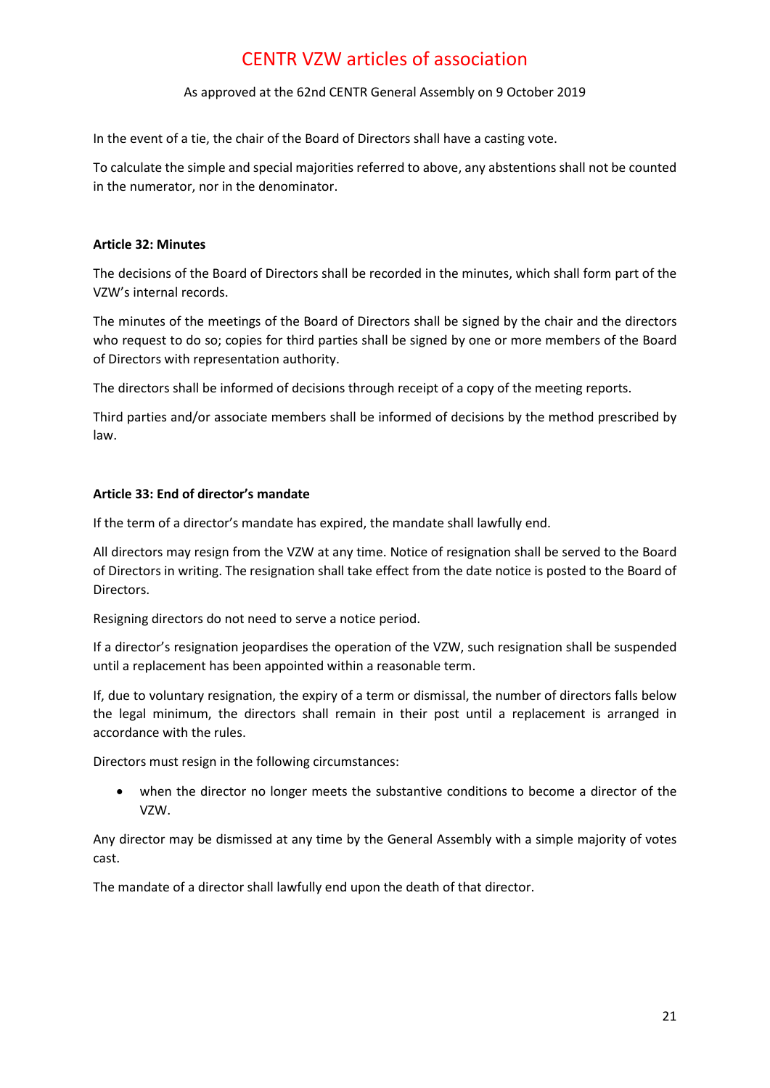### As approved at the 62nd CENTR General Assembly on 9 October 2019

In the event of a tie, the chair of the Board of Directors shall have a casting vote.

To calculate the simple and special majorities referred to above, any abstentions shall not be counted in the numerator, nor in the denominator.

### <span id="page-20-0"></span>**Article 32: Minutes**

The decisions of the Board of Directors shall be recorded in the minutes, which shall form part of the VZW's internal records.

The minutes of the meetings of the Board of Directors shall be signed by the chair and the directors who request to do so; copies for third parties shall be signed by one or more members of the Board of Directors with representation authority.

The directors shall be informed of decisions through receipt of a copy of the meeting reports.

Third parties and/or associate members shall be informed of decisions by the method prescribed by law.

### <span id="page-20-1"></span>**Article 33: End of director's mandate**

If the term of a director's mandate has expired, the mandate shall lawfully end.

All directors may resign from the VZW at any time. Notice of resignation shall be served to the Board of Directors in writing. The resignation shall take effect from the date notice is posted to the Board of Directors.

Resigning directors do not need to serve a notice period.

If a director's resignation jeopardises the operation of the VZW, such resignation shall be suspended until a replacement has been appointed within a reasonable term.

If, due to voluntary resignation, the expiry of a term or dismissal, the number of directors falls below the legal minimum, the directors shall remain in their post until a replacement is arranged in accordance with the rules.

Directors must resign in the following circumstances:

• when the director no longer meets the substantive conditions to become a director of the VZW.

Any director may be dismissed at any time by the General Assembly with a simple majority of votes cast.

The mandate of a director shall lawfully end upon the death of that director.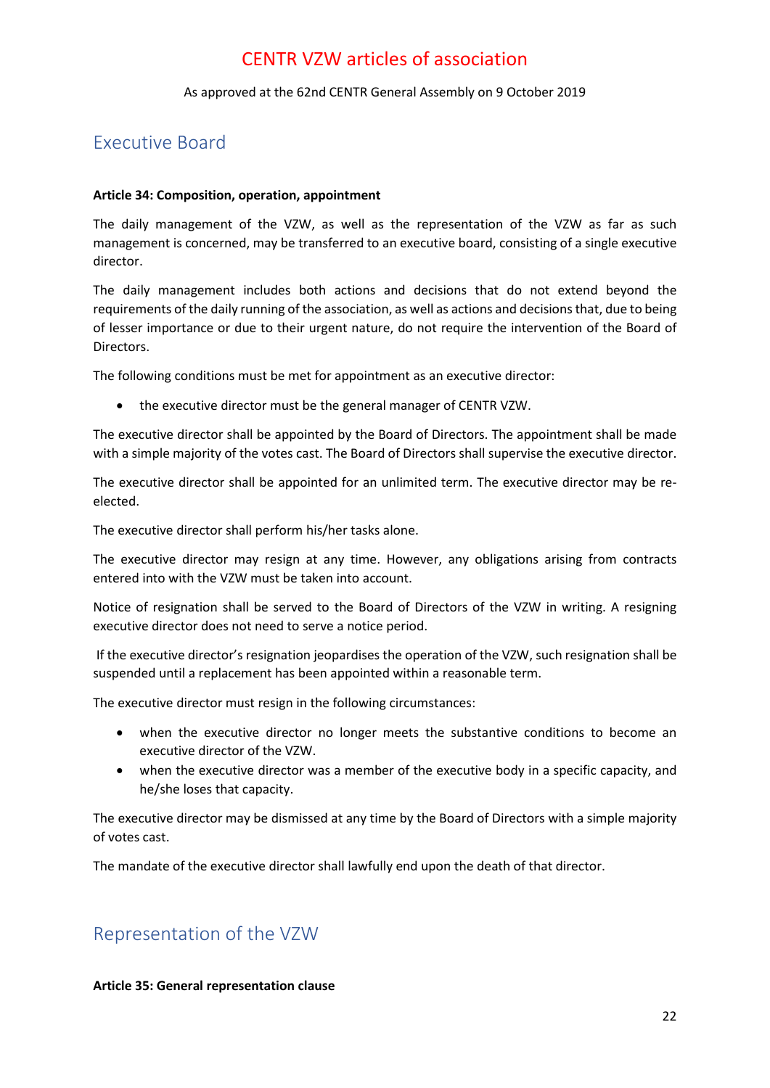### As approved at the 62nd CENTR General Assembly on 9 October 2019

### <span id="page-21-0"></span>Executive Board

### <span id="page-21-1"></span>**Article 34: Composition, operation, appointment**

The daily management of the VZW, as well as the representation of the VZW as far as such management is concerned, may be transferred to an executive board, consisting of a single executive director.

The daily management includes both actions and decisions that do not extend beyond the requirements of the daily running of the association, as well as actions and decisions that, due to being of lesser importance or due to their urgent nature, do not require the intervention of the Board of Directors.

The following conditions must be met for appointment as an executive director:

• the executive director must be the general manager of CENTR VZW.

The executive director shall be appointed by the Board of Directors. The appointment shall be made with a simple majority of the votes cast. The Board of Directors shall supervise the executive director.

The executive director shall be appointed for an unlimited term. The executive director may be reelected.

The executive director shall perform his/her tasks alone.

The executive director may resign at any time. However, any obligations arising from contracts entered into with the VZW must be taken into account.

Notice of resignation shall be served to the Board of Directors of the VZW in writing. A resigning executive director does not need to serve a notice period.

If the executive director's resignation jeopardises the operation of the VZW, such resignation shall be suspended until a replacement has been appointed within a reasonable term.

The executive director must resign in the following circumstances:

- when the executive director no longer meets the substantive conditions to become an executive director of the VZW.
- when the executive director was a member of the executive body in a specific capacity, and he/she loses that capacity.

The executive director may be dismissed at any time by the Board of Directors with a simple majority of votes cast.

The mandate of the executive director shall lawfully end upon the death of that director.

### <span id="page-21-2"></span>Representation of the VZW

### <span id="page-21-3"></span>**Article 35: General representation clause**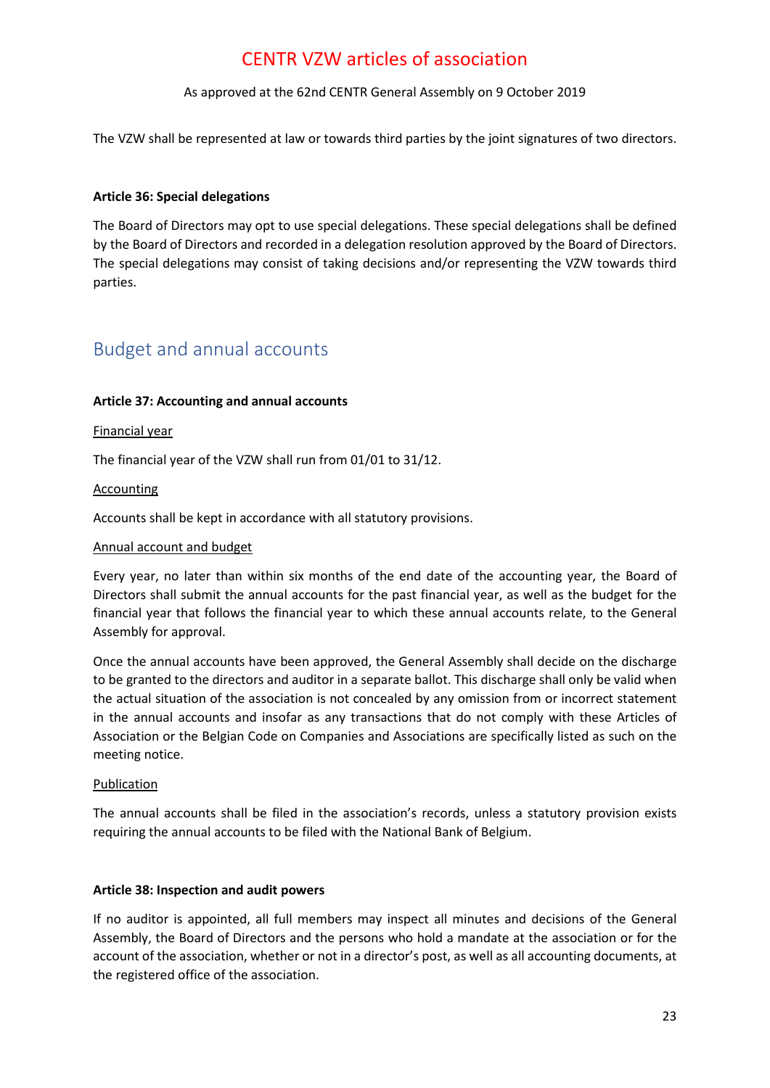### As approved at the 62nd CENTR General Assembly on 9 October 2019

The VZW shall be represented at law or towards third parties by the joint signatures of two directors.

### <span id="page-22-0"></span>**Article 36: Special delegations**

The Board of Directors may opt to use special delegations. These special delegations shall be defined by the Board of Directors and recorded in a delegation resolution approved by the Board of Directors. The special delegations may consist of taking decisions and/or representing the VZW towards third parties.

### <span id="page-22-1"></span>Budget and annual accounts

### <span id="page-22-2"></span>**Article 37: Accounting and annual accounts**

#### Financial year

The financial year of the VZW shall run from 01/01 to 31/12.

#### Accounting

Accounts shall be kept in accordance with all statutory provisions.

#### Annual account and budget

Every year, no later than within six months of the end date of the accounting year, the Board of Directors shall submit the annual accounts for the past financial year, as well as the budget for the financial year that follows the financial year to which these annual accounts relate, to the General Assembly for approval.

Once the annual accounts have been approved, the General Assembly shall decide on the discharge to be granted to the directors and auditor in a separate ballot. This discharge shall only be valid when the actual situation of the association is not concealed by any omission from or incorrect statement in the annual accounts and insofar as any transactions that do not comply with these Articles of Association or the Belgian Code on Companies and Associations are specifically listed as such on the meeting notice.

### Publication

The annual accounts shall be filed in the association's records, unless a statutory provision exists requiring the annual accounts to be filed with the National Bank of Belgium.

#### <span id="page-22-3"></span>**Article 38: Inspection and audit powers**

If no auditor is appointed, all full members may inspect all minutes and decisions of the General Assembly, the Board of Directors and the persons who hold a mandate at the association or for the account of the association, whether or not in a director's post, as well as all accounting documents, at the registered office of the association.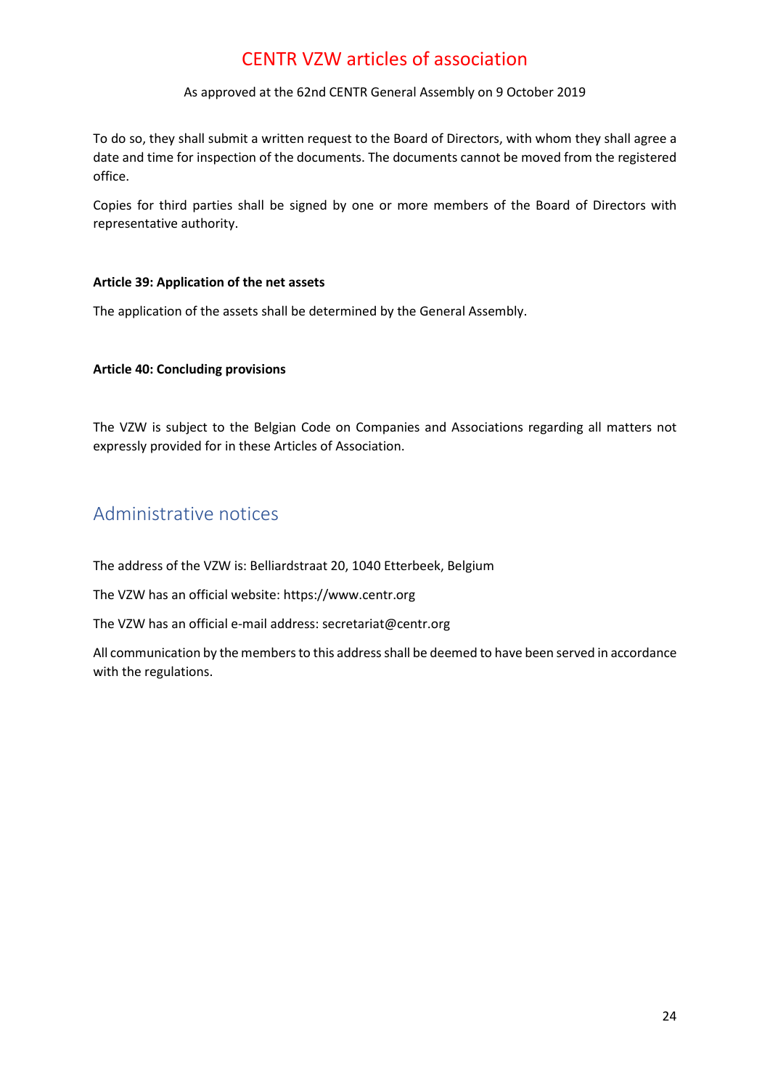### As approved at the 62nd CENTR General Assembly on 9 October 2019

To do so, they shall submit a written request to the Board of Directors, with whom they shall agree a date and time for inspection of the documents. The documents cannot be moved from the registered office.

Copies for third parties shall be signed by one or more members of the Board of Directors with representative authority.

### <span id="page-23-0"></span>**Article 39: Application of the net assets**

The application of the assets shall be determined by the General Assembly.

### <span id="page-23-1"></span>**Article 40: Concluding provisions**

The VZW is subject to the Belgian Code on Companies and Associations regarding all matters not expressly provided for in these Articles of Association.

### <span id="page-23-2"></span>Administrative notices

The address of the VZW is: Belliardstraat 20, 1040 Etterbeek, Belgium

The VZW has an official website: https://www.centr.org

The VZW has an official e-mail address: secretariat@centr.org

All communication by the members to this address shall be deemed to have been served in accordance with the regulations.